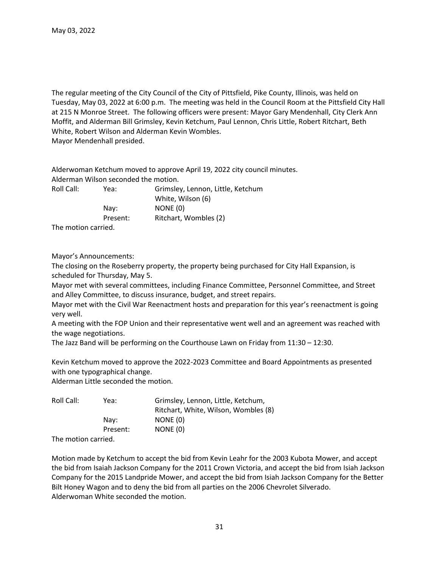The regular meeting of the City Council of the City of Pittsfield, Pike County, Illinois, was held on Tuesday, May 03, 2022 at 6:00 p.m. The meeting was held in the Council Room at the Pittsfield City Hall at 215 N Monroe Street. The following officers were present: Mayor Gary Mendenhall, City Clerk Ann Moffit, and Alderman Bill Grimsley, Kevin Ketchum, Paul Lennon, Chris Little, Robert Ritchart, Beth White, Robert Wilson and Alderman Kevin Wombles. Mayor Mendenhall presided.

Alderwoman Ketchum moved to approve April 19, 2022 city council minutes. Alderman Wilson seconded the motion. Roll Call: Yea: Grimsley, Lennon, Little, Ketchum White, Wilson (6) Nay: NONE (0) Present: Ritchart, Wombles (2)

The motion carried.

## Mayor's Announcements:

The closing on the Roseberry property, the property being purchased for City Hall Expansion, is scheduled for Thursday, May 5.

Mayor met with several committees, including Finance Committee, Personnel Committee, and Street and Alley Committee, to discuss insurance, budget, and street repairs.

Mayor met with the Civil War Reenactment hosts and preparation for this year's reenactment is going very well.

A meeting with the FOP Union and their representative went well and an agreement was reached with the wage negotiations.

The Jazz Band will be performing on the Courthouse Lawn on Friday from 11:30 – 12:30.

Kevin Ketchum moved to approve the 2022-2023 Committee and Board Appointments as presented with one typographical change.

Alderman Little seconded the motion.

| Roll Call: | Yea:     | Grimsley, Lennon, Little, Ketchum,   |
|------------|----------|--------------------------------------|
|            |          | Ritchart, White, Wilson, Wombles (8) |
|            | Nav:     | NONE (0)                             |
|            | Present: | NONE (0)                             |
|            |          |                                      |

The motion carried.

Motion made by Ketchum to accept the bid from Kevin Leahr for the 2003 Kubota Mower, and accept the bid from Isaiah Jackson Company for the 2011 Crown Victoria, and accept the bid from Isiah Jackson Company for the 2015 Landpride Mower, and accept the bid from Isiah Jackson Company for the Better Bilt Honey Wagon and to deny the bid from all parties on the 2006 Chevrolet Silverado. Alderwoman White seconded the motion.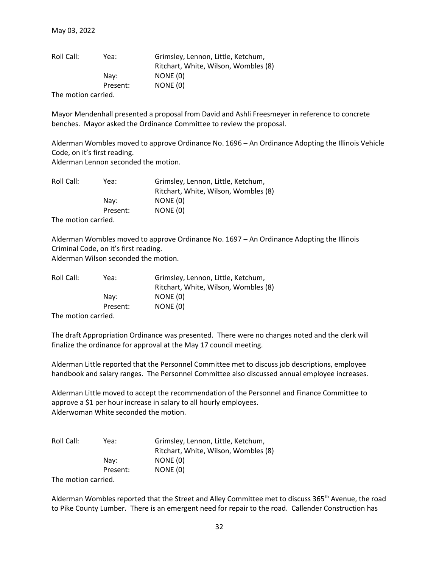| Roll Call:          | Yea:     | Grimsley, Lennon, Little, Ketchum,   |
|---------------------|----------|--------------------------------------|
|                     |          | Ritchart, White, Wilson, Wombles (8) |
|                     | Nav:     | NONE (0)                             |
|                     | Present: | NONE (0)                             |
| The motion carried. |          |                                      |

Mayor Mendenhall presented a proposal from David and Ashli Freesmeyer in reference to concrete benches. Mayor asked the Ordinance Committee to review the proposal.

Alderman Wombles moved to approve Ordinance No. 1696 – An Ordinance Adopting the Illinois Vehicle Code, on it's first reading. Alderman Lennon seconded the motion.

| Roll Call:          | Yea:     | Grimsley, Lennon, Little, Ketchum,<br>Ritchart, White, Wilson, Wombles (8) |
|---------------------|----------|----------------------------------------------------------------------------|
|                     | Nav:     | NONE (0)                                                                   |
|                     | Present: | NONE (0)                                                                   |
| 美しょうしょうけん アーティング・オー |          |                                                                            |

The motion carried.

Alderman Wombles moved to approve Ordinance No. 1697 – An Ordinance Adopting the Illinois Criminal Code, on it's first reading. Alderman Wilson seconded the motion.

| Roll Call: | Yea:     | Grimsley, Lennon, Little, Ketchum,   |
|------------|----------|--------------------------------------|
|            |          | Ritchart, White, Wilson, Wombles (8) |
|            | Nav:     | NONE (0)                             |
|            | Present: | NONE (0)                             |
|            |          |                                      |

The motion carried.

The draft Appropriation Ordinance was presented. There were no changes noted and the clerk will finalize the ordinance for approval at the May 17 council meeting.

Alderman Little reported that the Personnel Committee met to discuss job descriptions, employee handbook and salary ranges. The Personnel Committee also discussed annual employee increases.

Alderman Little moved to accept the recommendation of the Personnel and Finance Committee to approve a \$1 per hour increase in salary to all hourly employees. Alderwoman White seconded the motion.

| Roll Call:                   | Yea:     | Grimsley, Lennon, Little, Ketchum,   |
|------------------------------|----------|--------------------------------------|
|                              |          | Ritchart, White, Wilson, Wombles (8) |
|                              | Nav:     | NONE (0)                             |
|                              | Present: | NONE (0)                             |
| - 天地 しょうしょう しょうしょうしょう しょうしょう |          |                                      |

The motion carried.

Alderman Wombles reported that the Street and Alley Committee met to discuss 365<sup>th</sup> Avenue, the road to Pike County Lumber. There is an emergent need for repair to the road. Callender Construction has